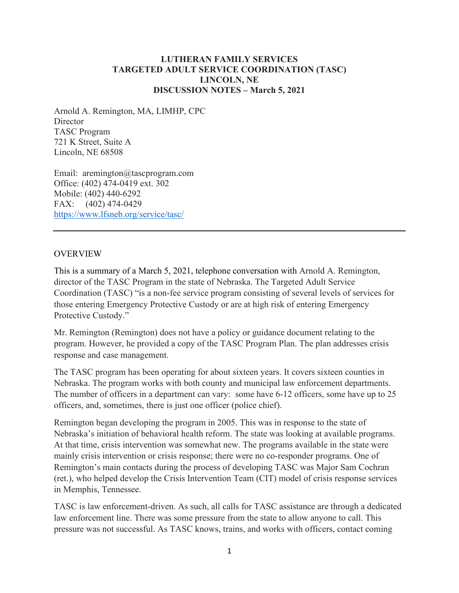#### **LUTHERAN FAMILY SERVICES TARGETED ADULT SERVICE COORDINATION (TASC) LINCOLN, NE DISCUSSION NOTES – March 5, 2021**

Arnold A. Remington, MA, LIMHP, CPC **Director** TASC Program 721 K Street, Suite A Lincoln, NE 68508

Email: aremington@tascprogram.com Office: (402) 474-0419 ext. 302 Mobile: (402) 440-6292 FAX: (402) 474-0429 <https://www.lfsneb.org/service/tasc/>

#### OVERVIEW

This is a summary of a March 5, 2021, telephone conversation with Arnold A. Remington, director of the TASC Program in the state of Nebraska. The Targeted Adult Service Coordination (TASC) "is a non-fee service program consisting of several levels of services for those entering Emergency Protective Custody or are at high risk of entering Emergency Protective Custody."

Mr. Remington (Remington) does not have a policy or guidance document relating to the program. However, he provided a copy of the TASC Program Plan. The plan addresses crisis response and case management.

The TASC program has been operating for about sixteen years. It covers sixteen counties in Nebraska. The program works with both county and municipal law enforcement departments. The number of officers in a department can vary: some have 6-12 officers, some have up to 25 officers, and, sometimes, there is just one officer (police chief).

Remington began developing the program in 2005. This was in response to the state of Nebraska's initiation of behavioral health reform. The state was looking at available programs. At that time, crisis intervention was somewhat new. The programs available in the state were mainly crisis intervention or crisis response; there were no co-responder programs. One of Remington's main contacts during the process of developing TASC was Major Sam Cochran (ret.), who helped develop the Crisis Intervention Team (CIT) model of crisis response services in Memphis, Tennessee.

TASC is law enforcement-driven. As such, all calls for TASC assistance are through a dedicated law enforcement line. There was some pressure from the state to allow anyone to call. This pressure was not successful. As TASC knows, trains, and works with officers, contact coming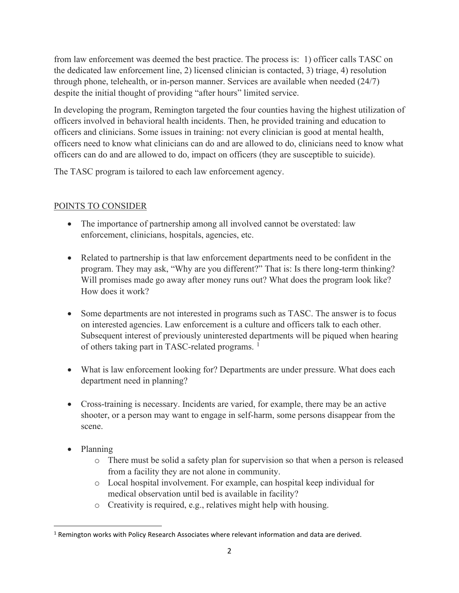from law enforcement was deemed the best practice. The process is: 1) officer calls TASC on the dedicated law enforcement line, 2) licensed clinician is contacted, 3) triage, 4) resolution through phone, telehealth, or in-person manner. Services are available when needed (24/7) despite the initial thought of providing "after hours" limited service.

In developing the program, Remington targeted the four counties having the highest utilization of officers involved in behavioral health incidents. Then, he provided training and education to officers and clinicians. Some issues in training: not every clinician is good at mental health, officers need to know what clinicians can do and are allowed to do, clinicians need to know what officers can do and are allowed to do, impact on officers (they are susceptible to suicide).

The TASC program is tailored to each law enforcement agency.

# POINTS TO CONSIDER

- The importance of partnership among all involved cannot be overstated: law enforcement, clinicians, hospitals, agencies, etc.
- Related to partnership is that law enforcement departments need to be confident in the program. They may ask, "Why are you different?" That is: Is there long-term thinking? Will promises made go away after money runs out? What does the program look like? How does it work?
- Some departments are not interested in programs such as TASC. The answer is to focus on interested agencies. Law enforcement is a culture and officers talk to each other. Subsequent interest of previously uninterested departments will be piqued when hearing of others taking part in TASC-related programs.  $<sup>1</sup>$  $<sup>1</sup>$  $<sup>1</sup>$ </sup>
- What is law enforcement looking for? Departments are under pressure. What does each department need in planning?
- Cross-training is necessary. Incidents are varied, for example, there may be an active shooter, or a person may want to engage in self-harm, some persons disappear from the scene.
- Planning
	- o There must be solid a safety plan for supervision so that when a person is released from a facility they are not alone in community.
	- o Local hospital involvement. For example, can hospital keep individual for medical observation until bed is available in facility?
	- o Creativity is required, e.g., relatives might help with housing.

<span id="page-1-0"></span><sup>&</sup>lt;sup>1</sup> Remington works with Policy Research Associates where relevant information and data are derived.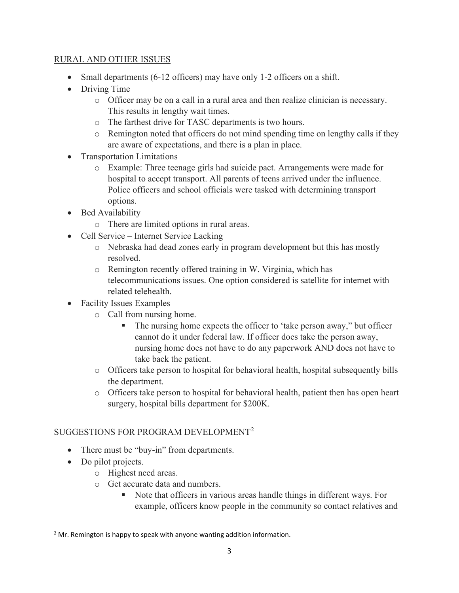### RURAL AND OTHER ISSUES

- Small departments (6-12 officers) may have only 1-2 officers on a shift.
- Driving Time
	- o Officer may be on a call in a rural area and then realize clinician is necessary. This results in lengthy wait times.
	- o The farthest drive for TASC departments is two hours.
	- o Remington noted that officers do not mind spending time on lengthy calls if they are aware of expectations, and there is a plan in place.
- Transportation Limitations
	- o Example: Three teenage girls had suicide pact. Arrangements were made for hospital to accept transport. All parents of teens arrived under the influence. Police officers and school officials were tasked with determining transport options.
- Bed Availability
	- o There are limited options in rural areas.
- Cell Service Internet Service Lacking
	- o Nebraska had dead zones early in program development but this has mostly resolved.
	- o Remington recently offered training in W. Virginia, which has telecommunications issues. One option considered is satellite for internet with related telehealth.
- Facility Issues Examples
	- o Call from nursing home.
		- The nursing home expects the officer to 'take person away," but officer cannot do it under federal law. If officer does take the person away, nursing home does not have to do any paperwork AND does not have to take back the patient.
	- o Officers take person to hospital for behavioral health, hospital subsequently bills the department.
	- o Officers take person to hospital for behavioral health, patient then has open heart surgery, hospital bills department for \$200K.

# SUGGESTIONS FOR PROGRAM DEVELOPMENT[2](#page-2-0)

- There must be "buy-in" from departments.
- Do pilot projects.
	- o Highest need areas.
	- o Get accurate data and numbers.
		- Note that officers in various areas handle things in different ways. For example, officers know people in the community so contact relatives and

<span id="page-2-0"></span> $2$  Mr. Remington is happy to speak with anyone wanting addition information.